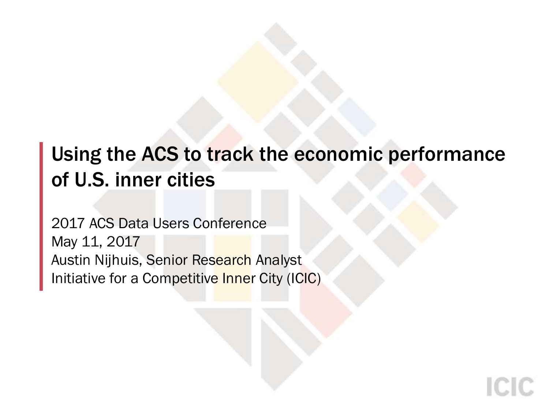## Using the ACS to track the economic performance of U.S. inner cities

2017 ACS Data Users Conference May 11, 2017 Austin Nijhuis, Senior Research Analyst Initiative for a Competitive Inner City (ICIC)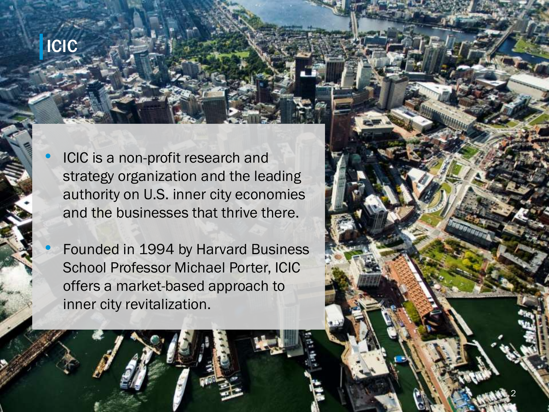# ICIC

ICIC is a non-profit research and strategy organization and the leading authority on U.S. inner city economies and the businesses that thrive there.

• Founded in 1994 by Harvard Business School Professor Michael Porter, ICIC offers a market-based approach to inner city revitalization.



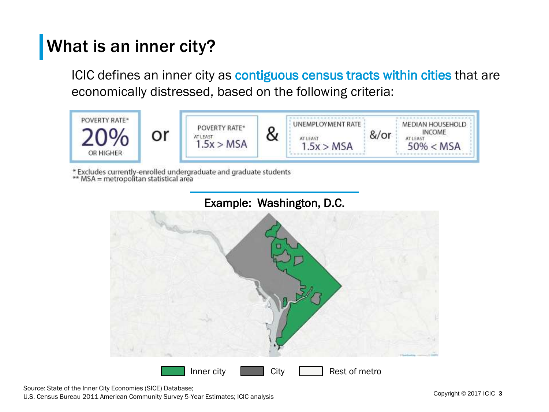### What is an inner city?

ICIC defines an inner city as contiguous census tracts within cities that are economically distressed, based on the following criteria:



\* Excludes currently-enrolled undergraduate and graduate students<br>\*\* MSA = metropolitan statistical area





Source: State of the Inner City Economies (SICE) Database; U.S. Census Bureau 2011 American Community Survey 5-Year Estimates; ICIC analysis Copyright Copyright © 2017 ICIC 3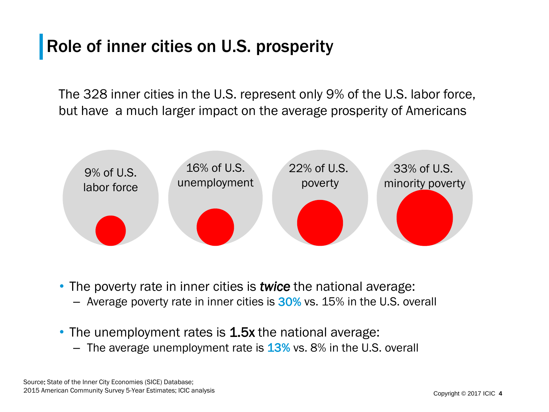### Role of inner cities on U.S. prosperity

The 328 inner cities in the U.S. represent only 9% of the U.S. labor force, but have a much larger impact on the average prosperity of Americans



• The poverty rate in inner cities is *twice* the national average:

- Average poverty rate in inner cities is  $30\%$  vs. 15% in the U.S. overall
- The unemployment rates is 1.5x the national average:
	- The average unemployment rate is  $13\%$  vs. 8% in the U.S. overall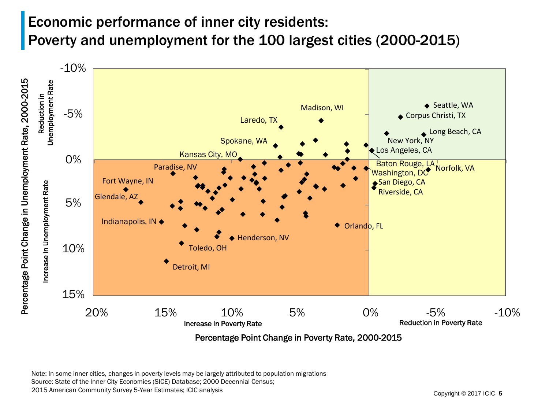### Economic performance of inner city residents: Poverty and unemployment for the 100 largest cities (2000-2015)



Note: In some inner cities, changes in poverty levels may be largely attributed to population migrations Source: State of the Inner City Economies (SICE) Database; 2000 Decennial Census;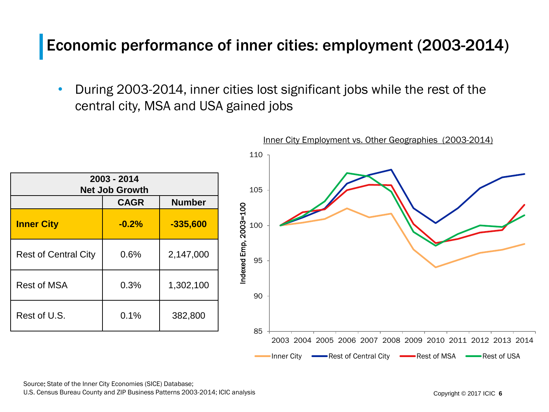### Economic performance of inner cities: employment (2003-2014)

• During 2003-2014, inner cities lost significant jobs while the rest of the central city, MSA and USA gained jobs



Source: State of the Inner City Economies (SICE) Database;

U.S. Census Bureau County and ZIP Business Patterns 2003-2014; ICIC analysis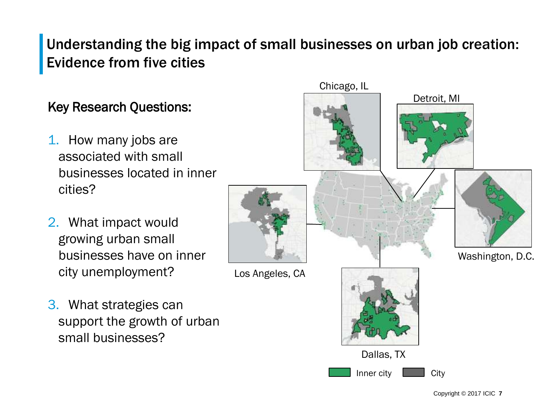### Understanding the big impact of small businesses on urban job creation: Evidence from five cities

#### Key Research Questions:

- 1. How many jobs are associated with small businesses located in inner cities?
- 2. What impact would growing urban small businesses have on inner city unemployment?
- Washington, D.C. Los Angeles, CA

Dallas, TX

Inner city **Late Acity** 

Chicago, IL

3. What strategies can support the growth of urban small businesses?

Copyright © 2017 ICIC **7**

Detroit, MI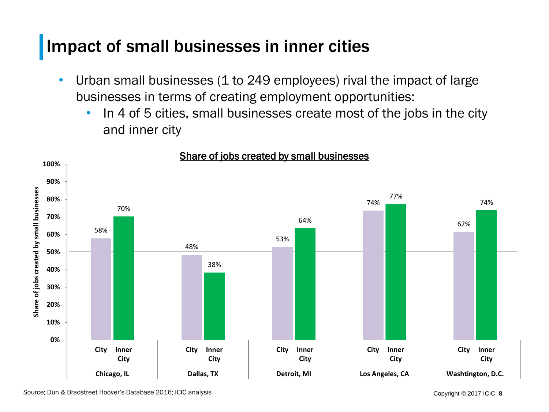### Impact of small businesses in inner cities

- Urban small businesses (1 to 249 employees) rival the impact of large businesses in terms of creating employment opportunities:
	- In 4 of 5 cities, small businesses create most of the jobs in the city and inner city



#### Share of jobs created by small businesses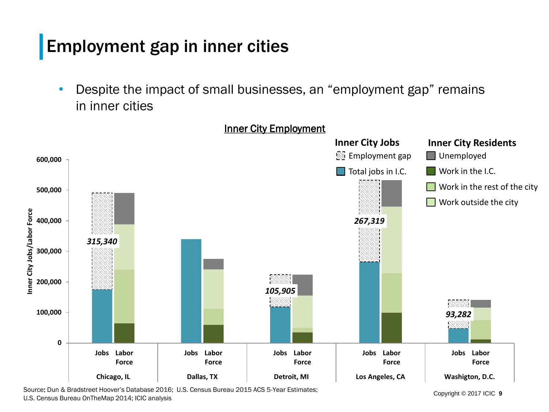### Employment gap in inner cities

• Despite the impact of small businesses, an "employment gap" remains in inner cities



Source: Dun & Bradstreet Hoover's Database 2016; U.S. Census Bureau 2015 ACS 5-Year Estimates; U.S. Census Bureau OnTheMap 2014; ICIC analysis

Copyright © 2017 ICIC **9**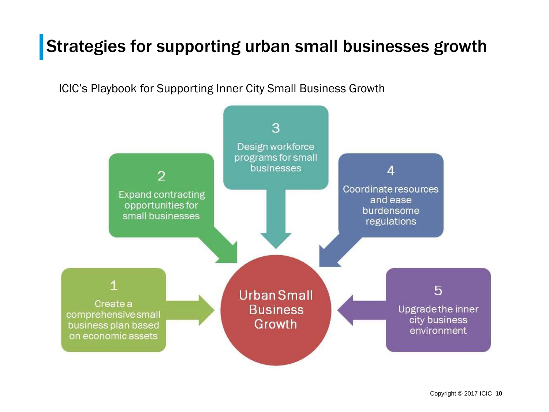### Strategies for supporting urban small businesses growth

ICIC's Playbook for Supporting Inner City Small Business Growth

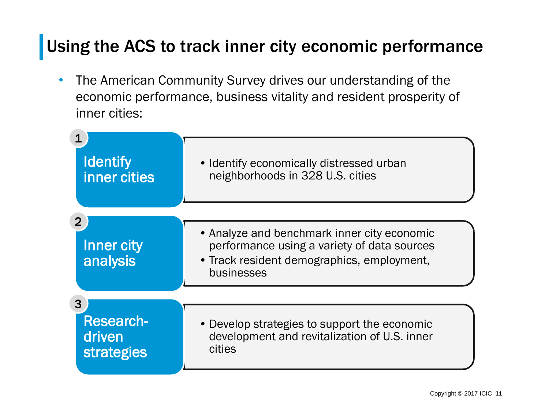### Using the ACS to track inner city economic performance

• The American Community Survey drives our understanding of the economic performance, business vitality and resident prosperity of inner cities:

| <b>Identify</b><br>inner cities                      | • Identify economically distressed urban<br>neighborhoods in 328 U.S. cities                                                                           |
|------------------------------------------------------|--------------------------------------------------------------------------------------------------------------------------------------------------------|
| $\overline{2}$<br><b>Inner city</b><br>analysis      | • Analyze and benchmark inner city economic<br>performance using a variety of data sources<br>• Track resident demographics, employment,<br>businesses |
| 3<br><b>Research-</b><br>driven<br><b>strategies</b> | • Develop strategies to support the economic<br>development and revitalization of U.S. inner<br>cities                                                 |